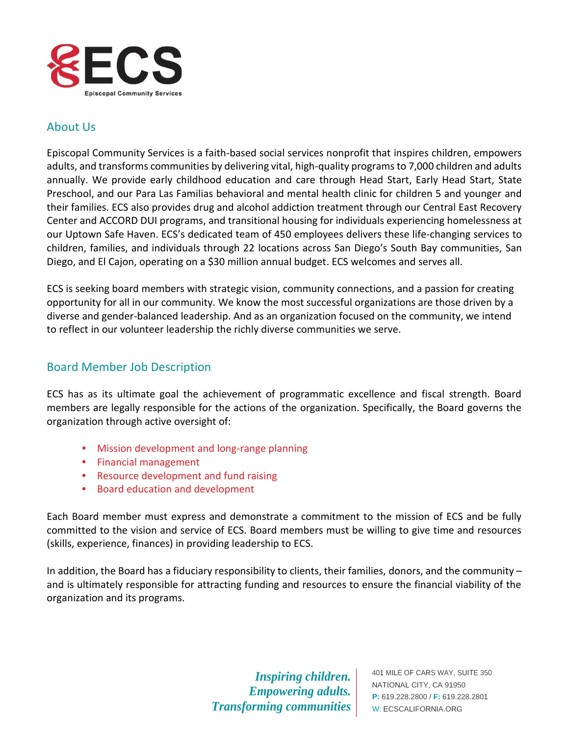

## About Us

Episcopal Community Services is a faith-based social services nonprofit that inspires children, empowers adults, and transforms communities by delivering vital, high-quality programsto 7,000 children and adults annually. We provide early childhood education and care through Head Start, Early Head Start, State Preschool, and our Para Las Familias behavioral and mental health clinic for children 5 and younger and their families. ECS also provides drug and alcohol addiction treatment through our Central East Recovery Center and ACCORD DUI programs, and transitional housing for individuals experiencing homelessness at our Uptown Safe Haven. ECS's dedicated team of 450 employees delivers these life-changing services to children, families, and individuals through 22 locations across San Diego's South Bay communities, San Diego, and El Cajon, operating on a \$30 million annual budget. ECS welcomes and serves all.

ECS is seeking board members with strategic vision, community connections, and a passion for creating opportunity for all in our community. We know the most successful organizations are those driven by a diverse and gender-balanced leadership. And as an organization focused on the community, we intend to reflect in our volunteer leadership the richly diverse communities we serve.

## Board Member Job Description

ECS has as its ultimate goal the achievement of programmatic excellence and fiscal strength. Board members are legally responsible for the actions of the organization. Specifically, the Board governs the organization through active oversight of:

- Mission development and long-range planning
- Financial management
- Resource development and fund raising
- Board education and development

Each Board member must express and demonstrate a commitment to the mission of ECS and be fully committed to the vision and service of ECS. Board members must be willing to give time and resources (skills, experience, finances) in providing leadership to ECS.

In addition, the Board has a fiduciary responsibility to clients, their families, donors, and the community – and is ultimately responsible for attracting funding and resources to ensure the financial viability of the organization and its programs.

> *Inspiring children. Empowering adults. Transforming communities*

401 MILE OF CARS WAY, SUITE 350 NATIONAL CITY, CA 91950 **P:** 619.228.2800 / **F:** 619.228.2801 W: ECSCALIFORNIA.ORG